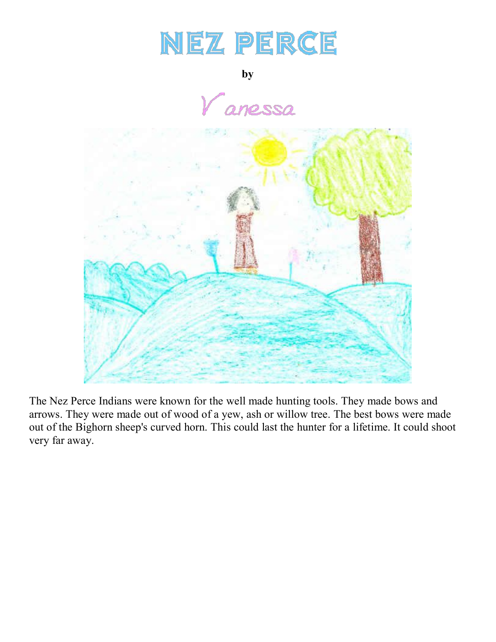## NEZ PERCE

**by**

.<br>anessa



The Nez Perce Indians were known for the well made hunting tools. They made bows and arrows. They were made out of wood of a yew, ash or willow tree. The best bows were made out of the Bighorn sheep's curved horn. This could last the hunter for a lifetime. It could shoot very far away.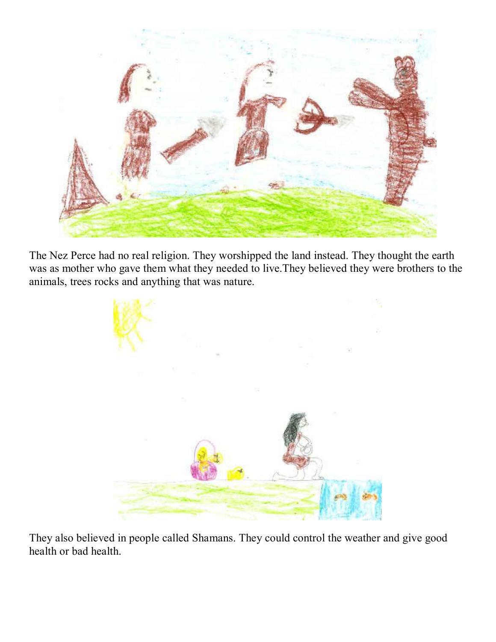

The Nez Perce had no real religion. They worshipped the land instead. They thought the earth was as mother who gave them what they needed to live.They believed they were brothers to the animals, trees rocks and anything that was nature.



They also believed in people called Shamans. They could control the weather and give good health or bad health.